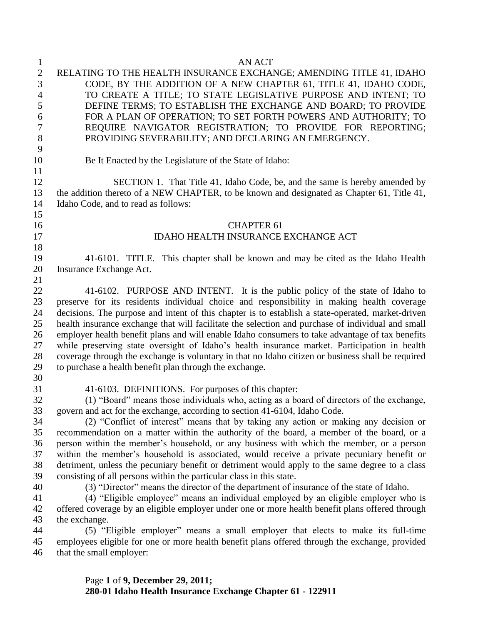| $\mathbf{1}$   | <b>AN ACT</b>                                                                                     |
|----------------|---------------------------------------------------------------------------------------------------|
| $\mathbf{2}$   | RELATING TO THE HEALTH INSURANCE EXCHANGE; AMENDING TITLE 41, IDAHO                               |
| 3              | CODE, BY THE ADDITION OF A NEW CHAPTER 61, TITLE 41, IDAHO CODE,                                  |
| $\overline{4}$ | TO CREATE A TITLE; TO STATE LEGISLATIVE PURPOSE AND INTENT; TO                                    |
| 5              | DEFINE TERMS; TO ESTABLISH THE EXCHANGE AND BOARD; TO PROVIDE                                     |
| 6              | FOR A PLAN OF OPERATION; TO SET FORTH POWERS AND AUTHORITY; TO                                    |
| 7              | REQUIRE NAVIGATOR REGISTRATION; TO PROVIDE FOR REPORTING;                                         |
| 8              | PROVIDING SEVERABILITY; AND DECLARING AN EMERGENCY.                                               |
| 9              |                                                                                                   |
|                |                                                                                                   |
| 10             | Be It Enacted by the Legislature of the State of Idaho:                                           |
| 11             |                                                                                                   |
| 12             | SECTION 1. That Title 41, Idaho Code, be, and the same is hereby amended by                       |
| 13             | the addition thereto of a NEW CHAPTER, to be known and designated as Chapter 61, Title 41,        |
| 14             | Idaho Code, and to read as follows:                                                               |
| 15             |                                                                                                   |
| 16             | <b>CHAPTER 61</b>                                                                                 |
| 17             | <b>IDAHO HEALTH INSURANCE EXCHANGE ACT</b>                                                        |
| 18             |                                                                                                   |
| 19             | 41-6101. TITLE. This chapter shall be known and may be cited as the Idaho Health                  |
| 20             | Insurance Exchange Act.                                                                           |
| 21             |                                                                                                   |
| 22             | 41-6102. PURPOSE AND INTENT. It is the public policy of the state of Idaho to                     |
| 23             | preserve for its residents individual choice and responsibility in making health coverage         |
| 24             | decisions. The purpose and intent of this chapter is to establish a state-operated, market-driven |
| 25             | health insurance exchange that will facilitate the selection and purchase of individual and small |
| 26             | employer health benefit plans and will enable Idaho consumers to take advantage of tax benefits   |
| 27             | while preserving state oversight of Idaho's health insurance market. Participation in health      |
| 28             | coverage through the exchange is voluntary in that no Idaho citizen or business shall be required |
| 29             | to purchase a health benefit plan through the exchange.                                           |
| 30             |                                                                                                   |
| 31             | 41-6103. DEFINITIONS. For purposes of this chapter:                                               |
| 32             | (1) "Board" means those individuals who, acting as a board of directors of the exchange,          |
| 33             | govern and act for the exchange, according to section 41-6104, Idaho Code.                        |
| 34             | (2) "Conflict of interest" means that by taking any action or making any decision or              |
| 35             | recommendation on a matter within the authority of the board, a member of the board, or a         |
| 36             | person within the member's household, or any business with which the member, or a person          |
| 37             | within the member's household is associated, would receive a private pecuniary benefit or         |
| 38             | detriment, unless the pecuniary benefit or detriment would apply to the same degree to a class    |
| 39             | consisting of all persons within the particular class in this state.                              |
| 40             | (3) "Director" means the director of the department of insurance of the state of Idaho.           |
| 41             | (4) "Eligible employee" means an individual employed by an eligible employer who is               |
| 42             | offered coverage by an eligible employer under one or more health benefit plans offered through   |
| 43             | the exchange.                                                                                     |
| 44             | (5) "Eligible employer" means a small employer that elects to make its full-time                  |
| 45             | employees eligible for one or more health benefit plans offered through the exchange, provided    |
| 46             | that the small employer:                                                                          |
|                |                                                                                                   |
|                |                                                                                                   |

Page **1** of **9, December 29, 2011; 280-01 Idaho Health Insurance Exchange Chapter 61 - 122911**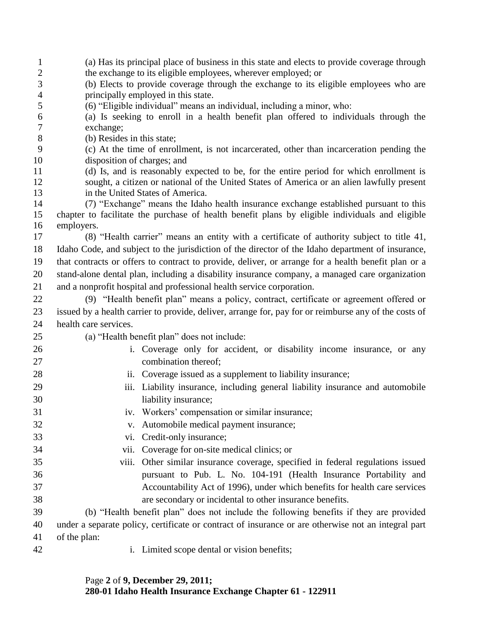| $\mathbf{1}$ | (a) Has its principal place of business in this state and elects to provide coverage through                                                                                                   |
|--------------|------------------------------------------------------------------------------------------------------------------------------------------------------------------------------------------------|
| $\mathbf{2}$ | the exchange to its eligible employees, wherever employed; or                                                                                                                                  |
| 3            | (b) Elects to provide coverage through the exchange to its eligible employees who are                                                                                                          |
| 4<br>5       | principally employed in this state.<br>(6) "Eligible individual" means an individual, including a minor, who:                                                                                  |
| 6            | (a) Is seeking to enroll in a health benefit plan offered to individuals through the                                                                                                           |
| 7            | exchange;                                                                                                                                                                                      |
| 8            | (b) Resides in this state;                                                                                                                                                                     |
| 9            | (c) At the time of enrollment, is not incarcerated, other than incarceration pending the                                                                                                       |
| 10           | disposition of charges; and                                                                                                                                                                    |
| 11           | (d) Is, and is reasonably expected to be, for the entire period for which enrollment is                                                                                                        |
| 12           | sought, a citizen or national of the United States of America or an alien lawfully present                                                                                                     |
| 13           | in the United States of America.                                                                                                                                                               |
| 14           | (7) "Exchange" means the Idaho health insurance exchange established pursuant to this                                                                                                          |
| 15           | chapter to facilitate the purchase of health benefit plans by eligible individuals and eligible                                                                                                |
| 16           | employers.                                                                                                                                                                                     |
| 17<br>18     | (8) "Health carrier" means an entity with a certificate of authority subject to title 41,<br>Idaho Code, and subject to the jurisdiction of the director of the Idaho department of insurance, |
| 19           | that contracts or offers to contract to provide, deliver, or arrange for a health benefit plan or a                                                                                            |
| 20           | stand-alone dental plan, including a disability insurance company, a managed care organization                                                                                                 |
| 21           | and a nonprofit hospital and professional health service corporation.                                                                                                                          |
|              |                                                                                                                                                                                                |
| 22           | (9) "Health benefit plan" means a policy, contract, certificate or agreement offered or                                                                                                        |
| 23           | issued by a health carrier to provide, deliver, arrange for, pay for or reimburse any of the costs of                                                                                          |
| 24           | health care services.                                                                                                                                                                          |
| 25           | (a) "Health benefit plan" does not include:                                                                                                                                                    |
| 26           | i. Coverage only for accident, or disability income insurance, or any                                                                                                                          |
| 27           | combination thereof;                                                                                                                                                                           |
| 28           | ii. Coverage issued as a supplement to liability insurance;                                                                                                                                    |
| 29           | Liability insurance, including general liability insurance and automobile<br>iii.                                                                                                              |
| 30           | liability insurance;                                                                                                                                                                           |
| 31           | Workers' compensation or similar insurance;<br>1V.                                                                                                                                             |
| 32           | Automobile medical payment insurance;<br>V.                                                                                                                                                    |
| 33           | Credit-only insurance;<br>VI.                                                                                                                                                                  |
| 34           | Coverage for on-site medical clinics; or<br>vii.                                                                                                                                               |
| 35           | Other similar insurance coverage, specified in federal regulations issued<br>viii.                                                                                                             |
| 36           | pursuant to Pub. L. No. 104-191 (Health Insurance Portability and                                                                                                                              |
| 37           | Accountability Act of 1996), under which benefits for health care services                                                                                                                     |
| 38           | are secondary or incidental to other insurance benefits.                                                                                                                                       |
| 39           | (b) "Health benefit plan" does not include the following benefits if they are provided                                                                                                         |
| 40           | under a separate policy, certificate or contract of insurance or are otherwise not an integral part                                                                                            |
| 41           | of the plan:                                                                                                                                                                                   |
| 42           | i. Limited scope dental or vision benefits;                                                                                                                                                    |
|              |                                                                                                                                                                                                |

Page **2** of **9, December 29, 2011; 280-01 Idaho Health Insurance Exchange Chapter 61 - 122911**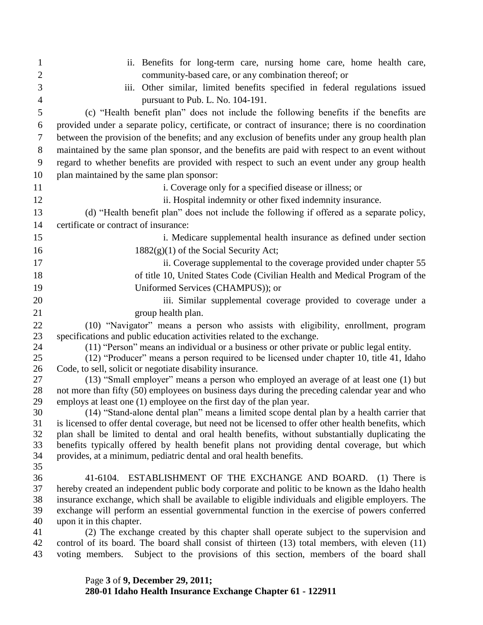| $\mathbf{1}$   | ii. Benefits for long-term care, nursing home care, home health care,                                                                             |
|----------------|---------------------------------------------------------------------------------------------------------------------------------------------------|
| $\overline{2}$ | community-based care, or any combination thereof; or                                                                                              |
| 3              | iii. Other similar, limited benefits specified in federal regulations issued                                                                      |
| $\overline{4}$ | pursuant to Pub. L. No. 104-191.                                                                                                                  |
| 5              | (c) "Health benefit plan" does not include the following benefits if the benefits are                                                             |
| 6              | provided under a separate policy, certificate, or contract of insurance; there is no coordination                                                 |
| 7              | between the provision of the benefits; and any exclusion of benefits under any group health plan                                                  |
| 8              | maintained by the same plan sponsor, and the benefits are paid with respect to an event without                                                   |
| 9              | regard to whether benefits are provided with respect to such an event under any group health                                                      |
| 10             | plan maintained by the same plan sponsor:                                                                                                         |
| 11             | i. Coverage only for a specified disease or illness; or                                                                                           |
| 12             | ii. Hospital indemnity or other fixed indemnity insurance.                                                                                        |
| 13             | (d) "Health benefit plan" does not include the following if offered as a separate policy,                                                         |
| 14             | certificate or contract of insurance:                                                                                                             |
| 15             | i. Medicare supplemental health insurance as defined under section                                                                                |
| 16             | $1882(g)(1)$ of the Social Security Act;                                                                                                          |
| 17             | ii. Coverage supplemental to the coverage provided under chapter 55                                                                               |
| 18             | of title 10, United States Code (Civilian Health and Medical Program of the                                                                       |
| 19             | Uniformed Services (CHAMPUS)); or                                                                                                                 |
| 20             | iii. Similar supplemental coverage provided to coverage under a                                                                                   |
| 21             | group health plan.                                                                                                                                |
| 22             | (10) "Navigator" means a person who assists with eligibility, enrollment, program                                                                 |
| 23             | specifications and public education activities related to the exchange.                                                                           |
| 24             | (11) "Person" means an individual or a business or other private or public legal entity.                                                          |
| 25             | (12) "Producer" means a person required to be licensed under chapter 10, title 41, Idaho                                                          |
| 26<br>27       | Code, to sell, solicit or negotiate disability insurance.<br>(13) "Small employer" means a person who employed an average of at least one (1) but |
| 28             | not more than fifty (50) employees on business days during the preceding calendar year and who                                                    |
| 29             | employs at least one (1) employee on the first day of the plan year.                                                                              |
| 30             | (14) "Stand-alone dental plan" means a limited scope dental plan by a health carrier that                                                         |
| 31             | is licensed to offer dental coverage, but need not be licensed to offer other health benefits, which                                              |
| 32             | plan shall be limited to dental and oral health benefits, without substantially duplicating the                                                   |
| 33             | benefits typically offered by health benefit plans not providing dental coverage, but which                                                       |
| 34<br>35       | provides, at a minimum, pediatric dental and oral health benefits.                                                                                |
| 36             | 41-6104. ESTABLISHMENT OF THE EXCHANGE AND BOARD. (1) There is                                                                                    |
| 37             | hereby created an independent public body corporate and politic to be known as the Idaho health                                                   |
| 38             | insurance exchange, which shall be available to eligible individuals and eligible employers. The                                                  |
| 39             | exchange will perform an essential governmental function in the exercise of powers conferred                                                      |
| 40             | upon it in this chapter.                                                                                                                          |
| 41             | (2) The exchange created by this chapter shall operate subject to the supervision and                                                             |
| 42             | control of its board. The board shall consist of thirteen (13) total members, with eleven (11)                                                    |
| 43             | Subject to the provisions of this section, members of the board shall<br>voting members.                                                          |

Page **3** of **9, December 29, 2011; 280-01 Idaho Health Insurance Exchange Chapter 61 - 122911**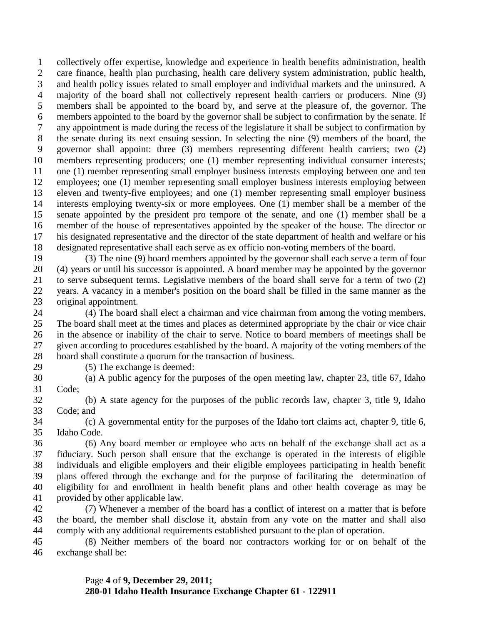collectively offer expertise, knowledge and experience in health benefits administration, health care finance, health plan purchasing, health care delivery system administration, public health, and health policy issues related to small employer and individual markets and the uninsured. A majority of the board shall not collectively represent health carriers or producers. Nine (9) members shall be appointed to the board by, and serve at the pleasure of, the governor. The members appointed to the board by the governor shall be subject to confirmation by the senate. If any appointment is made during the recess of the legislature it shall be subject to confirmation by the senate during its next ensuing session. In selecting the nine (9) members of the board, the governor shall appoint: three (3) members representing different health carriers; two (2) members representing producers; one (1) member representing individual consumer interests; 11 one (1) member representing small employer business interests employing between one and ten employees; one (1) member representing small employer business interests employing between eleven and twenty-five employees; and one (1) member representing small employer business interests employing twenty-six or more employees. One (1) member shall be a member of the senate appointed by the president pro tempore of the senate, and one (1) member shall be a member of the house of representatives appointed by the speaker of the house. The director or his designated representative and the director of the state department of health and welfare or his designated representative shall each serve as ex officio non-voting members of the board.

 (3) The nine (9) board members appointed by the governor shall each serve a term of four (4) years or until his successor is appointed. A board member may be appointed by the governor to serve subsequent terms. Legislative members of the board shall serve for a term of two (2) years. A vacancy in a member's position on the board shall be filled in the same manner as the original appointment.

 (4) The board shall elect a chairman and vice chairman from among the voting members. The board shall meet at the times and places as determined appropriate by the chair or vice chair in the absence or inability of the chair to serve. Notice to board members of meetings shall be given according to procedures established by the board. A majority of the voting members of the board shall constitute a quorum for the transaction of business.

(5) The exchange is deemed:

 (a) A public agency for the purposes of the open meeting law, chapter 23, title 67, Idaho Code;

 (b) A state agency for the purposes of the public records law, chapter 3, title 9, Idaho Code; and

 (c) A governmental entity for the purposes of the Idaho tort claims act, chapter 9, title 6, Idaho Code.

 (6) Any board member or employee who acts on behalf of the exchange shall act as a fiduciary. Such person shall ensure that the exchange is operated in the interests of eligible individuals and eligible employers and their eligible employees participating in health benefit plans offered through the exchange and for the purpose of facilitating the determination of eligibility for and enrollment in health benefit plans and other health coverage as may be provided by other applicable law.

 (7) Whenever a member of the board has a conflict of interest on a matter that is before the board, the member shall disclose it, abstain from any vote on the matter and shall also comply with any additional requirements established pursuant to the plan of operation.

 (8) Neither members of the board nor contractors working for or on behalf of the exchange shall be:

> Page **4** of **9, December 29, 2011; 280-01 Idaho Health Insurance Exchange Chapter 61 - 122911**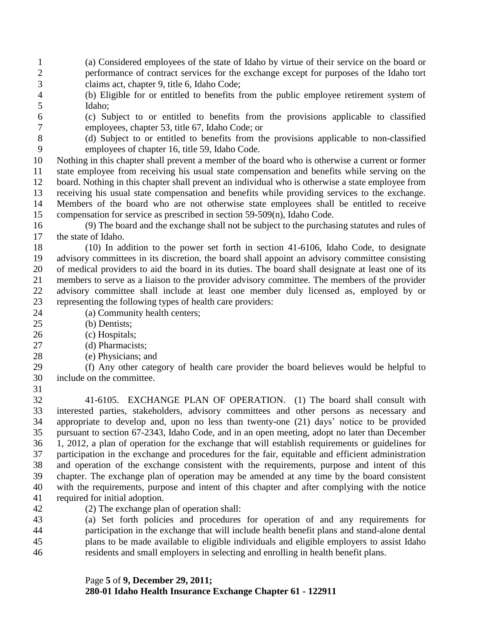- (a) Considered employees of the state of Idaho by virtue of their service on the board or performance of contract services for the exchange except for purposes of the Idaho tort claims act, chapter 9, title 6, Idaho Code;
- (b) Eligible for or entitled to benefits from the public employee retirement system of Idaho;
- 

 (c) Subject to or entitled to benefits from the provisions applicable to classified employees, chapter 53, title 67, Idaho Code; or

 (d) Subject to or entitled to benefits from the provisions applicable to non-classified employees of chapter 16, title 59, Idaho Code.

 Nothing in this chapter shall prevent a member of the board who is otherwise a current or former state employee from receiving his usual state compensation and benefits while serving on the board. Nothing in this chapter shall prevent an individual who is otherwise a state employee from receiving his usual state compensation and benefits while providing services to the exchange. Members of the board who are not otherwise state employees shall be entitled to receive compensation for service as prescribed in section 59-509(n), Idaho Code.

 (9) The board and the exchange shall not be subject to the purchasing statutes and rules of the state of Idaho.

 (10) In addition to the power set forth in section 41-6106, Idaho Code, to designate advisory committees in its discretion, the board shall appoint an advisory committee consisting of medical providers to aid the board in its duties. The board shall designate at least one of its members to serve as a liaison to the provider advisory committee. The members of the provider advisory committee shall include at least one member duly licensed as, employed by or representing the following types of health care providers:

- (a) Community health centers;
- (b) Dentists;
- 26 (c) Hospitals;
- (d) Pharmacists;
- (e) Physicians; and

 (f) Any other category of health care provider the board believes would be helpful to include on the committee.

 41-6105. EXCHANGE PLAN OF OPERATION. (1) The board shall consult with interested parties, stakeholders, advisory committees and other persons as necessary and appropriate to develop and, upon no less than twenty-one (21) days' notice to be provided pursuant to section 67-2343, Idaho Code, and in an open meeting, adopt no later than December 1, 2012, a plan of operation for the exchange that will establish requirements or guidelines for participation in the exchange and procedures for the fair, equitable and efficient administration and operation of the exchange consistent with the requirements, purpose and intent of this chapter. The exchange plan of operation may be amended at any time by the board consistent with the requirements, purpose and intent of this chapter and after complying with the notice required for initial adoption.

(2) The exchange plan of operation shall:

 (a) Set forth policies and procedures for operation of and any requirements for participation in the exchange that will include health benefit plans and stand-alone dental plans to be made available to eligible individuals and eligible employers to assist Idaho residents and small employers in selecting and enrolling in health benefit plans.

## Page **5** of **9, December 29, 2011; 280-01 Idaho Health Insurance Exchange Chapter 61 - 122911**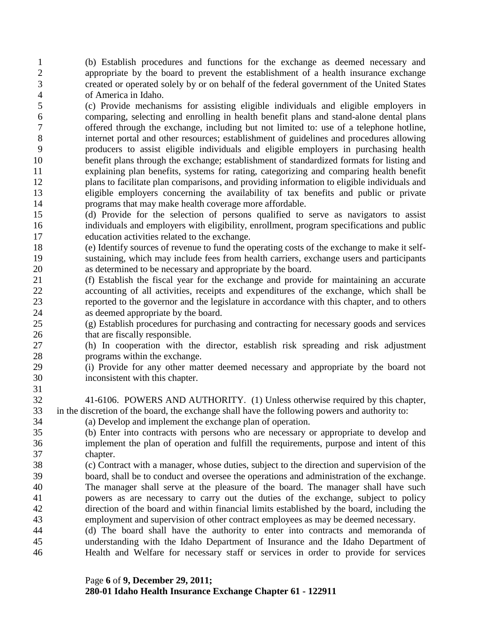(b) Establish procedures and functions for the exchange as deemed necessary and appropriate by the board to prevent the establishment of a health insurance exchange created or operated solely by or on behalf of the federal government of the United States of America in Idaho.

 (c) Provide mechanisms for assisting eligible individuals and eligible employers in comparing, selecting and enrolling in health benefit plans and stand-alone dental plans offered through the exchange, including but not limited to: use of a telephone hotline, internet portal and other resources; establishment of guidelines and procedures allowing producers to assist eligible individuals and eligible employers in purchasing health benefit plans through the exchange; establishment of standardized formats for listing and explaining plan benefits, systems for rating, categorizing and comparing health benefit plans to facilitate plan comparisons, and providing information to eligible individuals and eligible employers concerning the availability of tax benefits and public or private programs that may make health coverage more affordable.

 (d) Provide for the selection of persons qualified to serve as navigators to assist individuals and employers with eligibility, enrollment, program specifications and public education activities related to the exchange.

 (e) Identify sources of revenue to fund the operating costs of the exchange to make it self- sustaining, which may include fees from health carriers, exchange users and participants as determined to be necessary and appropriate by the board.

 (f) Establish the fiscal year for the exchange and provide for maintaining an accurate accounting of all activities, receipts and expenditures of the exchange, which shall be reported to the governor and the legislature in accordance with this chapter, and to others as deemed appropriate by the board.

 (g) Establish procedures for purchasing and contracting for necessary goods and services 26 that are fiscally responsible.

 (h) In cooperation with the director, establish risk spreading and risk adjustment programs within the exchange.

- (i) Provide for any other matter deemed necessary and appropriate by the board not inconsistent with this chapter.
- 41-6106. POWERS AND AUTHORITY. (1) Unless otherwise required by this chapter, in the discretion of the board, the exchange shall have the following powers and authority to:
- (a) Develop and implement the exchange plan of operation.

- (b) Enter into contracts with persons who are necessary or appropriate to develop and implement the plan of operation and fulfill the requirements, purpose and intent of this chapter.
- (c) Contract with a manager, whose duties, subject to the direction and supervision of the board, shall be to conduct and oversee the operations and administration of the exchange. The manager shall serve at the pleasure of the board. The manager shall have such powers as are necessary to carry out the duties of the exchange, subject to policy direction of the board and within financial limits established by the board, including the employment and supervision of other contract employees as may be deemed necessary.
- (d) The board shall have the authority to enter into contracts and memoranda of understanding with the Idaho Department of Insurance and the Idaho Department of Health and Welfare for necessary staff or services in order to provide for services

## Page **6** of **9, December 29, 2011;**

**280-01 Idaho Health Insurance Exchange Chapter 61 - 122911**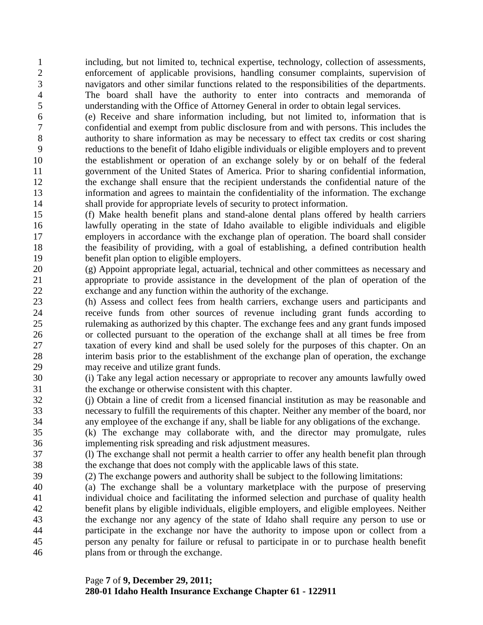including, but not limited to, technical expertise, technology, collection of assessments, enforcement of applicable provisions, handling consumer complaints, supervision of navigators and other similar functions related to the responsibilities of the departments. The board shall have the authority to enter into contracts and memoranda of understanding with the Office of Attorney General in order to obtain legal services.

 (e) Receive and share information including, but not limited to, information that is confidential and exempt from public disclosure from and with persons. This includes the authority to share information as may be necessary to effect tax credits or cost sharing reductions to the benefit of Idaho eligible individuals or eligible employers and to prevent the establishment or operation of an exchange solely by or on behalf of the federal government of the United States of America. Prior to sharing confidential information, the exchange shall ensure that the recipient understands the confidential nature of the information and agrees to maintain the confidentiality of the information. The exchange shall provide for appropriate levels of security to protect information.

 (f) Make health benefit plans and stand-alone dental plans offered by health carriers lawfully operating in the state of Idaho available to eligible individuals and eligible employers in accordance with the exchange plan of operation. The board shall consider the feasibility of providing, with a goal of establishing, a defined contribution health benefit plan option to eligible employers.

 (g) Appoint appropriate legal, actuarial, technical and other committees as necessary and appropriate to provide assistance in the development of the plan of operation of the exchange and any function within the authority of the exchange.

 (h) Assess and collect fees from health carriers, exchange users and participants and receive funds from other sources of revenue including grant funds according to rulemaking as authorized by this chapter. The exchange fees and any grant funds imposed or collected pursuant to the operation of the exchange shall at all times be free from taxation of every kind and shall be used solely for the purposes of this chapter. On an interim basis prior to the establishment of the exchange plan of operation, the exchange may receive and utilize grant funds.

 (i) Take any legal action necessary or appropriate to recover any amounts lawfully owed the exchange or otherwise consistent with this chapter.

 (j) Obtain a line of credit from a licensed financial institution as may be reasonable and necessary to fulfill the requirements of this chapter. Neither any member of the board, nor any employee of the exchange if any, shall be liable for any obligations of the exchange.

 (k) The exchange may collaborate with, and the director may promulgate, rules implementing risk spreading and risk adjustment measures.

 (l) The exchange shall not permit a health carrier to offer any health benefit plan through the exchange that does not comply with the applicable laws of this state.

- (2) The exchange powers and authority shall be subject to the following limitations:
- (a) The exchange shall be a voluntary marketplace with the purpose of preserving individual choice and facilitating the informed selection and purchase of quality health benefit plans by eligible individuals, eligible employers, and eligible employees. Neither the exchange nor any agency of the state of Idaho shall require any person to use or participate in the exchange nor have the authority to impose upon or collect from a person any penalty for failure or refusal to participate in or to purchase health benefit plans from or through the exchange.

## Page **7** of **9, December 29, 2011;**

**280-01 Idaho Health Insurance Exchange Chapter 61 - 122911**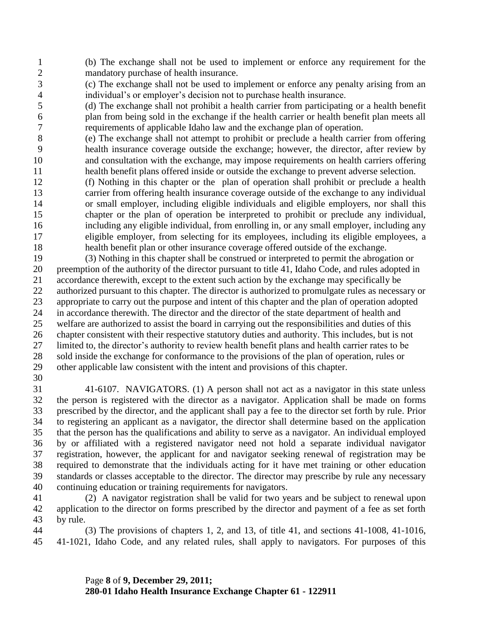(b) The exchange shall not be used to implement or enforce any requirement for the mandatory purchase of health insurance.

 (c) The exchange shall not be used to implement or enforce any penalty arising from an individual's or employer's decision not to purchase health insurance.

 (d) The exchange shall not prohibit a health carrier from participating or a health benefit plan from being sold in the exchange if the health carrier or health benefit plan meets all requirements of applicable Idaho law and the exchange plan of operation.

 (e) The exchange shall not attempt to prohibit or preclude a health carrier from offering health insurance coverage outside the exchange; however, the director, after review by and consultation with the exchange, may impose requirements on health carriers offering health benefit plans offered inside or outside the exchange to prevent adverse selection.

 (f) Nothing in this chapter or the plan of operation shall prohibit or preclude a health carrier from offering health insurance coverage outside of the exchange to any individual or small employer, including eligible individuals and eligible employers, nor shall this chapter or the plan of operation be interpreted to prohibit or preclude any individual, including any eligible individual, from enrolling in, or any small employer, including any eligible employer, from selecting for its employees, including its eligible employees, a health benefit plan or other insurance coverage offered outside of the exchange.

 (3) Nothing in this chapter shall be construed or interpreted to permit the abrogation or preemption of the authority of the director pursuant to title 41, Idaho Code, and rules adopted in accordance therewith, except to the extent such action by the exchange may specifically be authorized pursuant to this chapter. The director is authorized to promulgate rules as necessary or appropriate to carry out the purpose and intent of this chapter and the plan of operation adopted in accordance therewith. The director and the director of the state department of health and welfare are authorized to assist the board in carrying out the responsibilities and duties of this chapter consistent with their respective statutory duties and authority. This includes, but is not limited to, the director's authority to review health benefit plans and health carrier rates to be sold inside the exchange for conformance to the provisions of the plan of operation, rules or other applicable law consistent with the intent and provisions of this chapter.

 41-6107. NAVIGATORS. (1) A person shall not act as a navigator in this state unless the person is registered with the director as a navigator. Application shall be made on forms prescribed by the director, and the applicant shall pay a fee to the director set forth by rule. Prior to registering an applicant as a navigator, the director shall determine based on the application that the person has the qualifications and ability to serve as a navigator. An individual employed by or affiliated with a registered navigator need not hold a separate individual navigator registration, however, the applicant for and navigator seeking renewal of registration may be required to demonstrate that the individuals acting for it have met training or other education standards or classes acceptable to the director. The director may prescribe by rule any necessary continuing education or training requirements for navigators.

 (2) A navigator registration shall be valid for two years and be subject to renewal upon application to the director on forms prescribed by the director and payment of a fee as set forth by rule.

 (3) The provisions of chapters 1, 2, and 13, of title 41, and sections 41-1008, 41-1016, 41-1021, Idaho Code, and any related rules, shall apply to navigators. For purposes of this

> Page **8** of **9, December 29, 2011; 280-01 Idaho Health Insurance Exchange Chapter 61 - 122911**